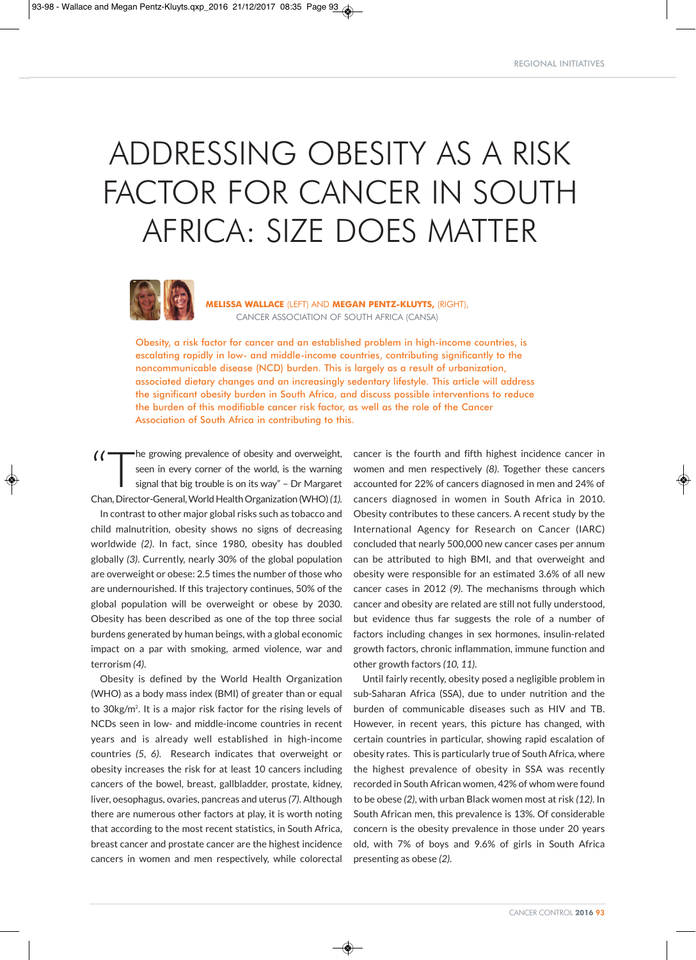# ADDRESSING OBESITY AS A RISK FACTOR FOR CANCER IN SOUTH AFRICA: SIZE DOES MATTER



**MELISSA WALLACE** (LEFT) AND **MEGAN PENTZ-KLUYTS,** (RIGHT), CANCER ASSOCIATION OF SOUTH AFRICA (CANSA)

Obesity, a risk factor for cancer and an established problem in high-income countries, is escalating rapidly in low- and middle-income countries, contributing significantly to the noncommunicable disease (NCD) burden. This is largely as a result of urbanization, associated dietary changes and an increasingly sedentary lifestyle. This article will address the significant obesity burden in South Africa, and discuss possible interventions to reduce the burden of this modifiable cancer risk factor, as well as the role of the Cancer Association of South Africa in contributing to this.

◈

(
The growing prevalence of obesity and overweight,<br>
seen in every corner of the world, is the warning<br>
signal that big trouble is on its way" – Dr Margaret seen in every corner of the world, is the warning Chan,Director-General,WorldHealthOrganization (WHO)*(1).* In contrast to other major global risks such as tobacco and child malnutrition, obesity shows no signs of decreasing worldwide *(2)*. In fact, since 1980, obesity has doubled globally *(3)*. Currently, nearly 30% of the global population are overweight or obese: 2.5 times the number of those who are undernourished. If this trajectory continues, 50% of the global population will be overweight or obese by 2030. Obesity has been described as one of the top three social burdens generated by human beings, with a global economic impact on a par with smoking, armed violence, war and terrorism *(4)*.

Obesity is defined by the World Health Organization (WHO) as a body mass index (BMI) of greater than or equal to 30kg/m<sup>2</sup>. It is a major risk factor for the rising levels of NCDs seen in low- and middle-income countries in recent years and is already well established in high-income countries *(5, 6)*. Research indicates that overweight or obesity increases the risk for at least 10 cancers including cancers of the bowel, breast, gallbladder, prostate, kidney, liver, oesophagus, ovaries, pancreas and uterus *(7)*. Although there are numerous other factors at play, it is worth noting that according to the most recent statistics, in South Africa, breast cancer and prostate cancer are the highest incidence cancers in women and men respectively, while colorectal cancer is the fourth and fifth highest incidence cancer in women and men respectively *(8)*. Together these cancers accounted for 22% of cancers diagnosed in men and 24% of cancers diagnosed in women in South Africa in 2010. Obesity contributes to these cancers. A recent study by the International Agency for Research on Cancer (IARC) concluded that nearly 500,000 new cancer cases per annum can be attributed to high BMI, and that overweight and obesity were responsible for an estimated 3.6% of all new cancer cases in 2012 *(9)*. The mechanisms through which cancer and obesity are related are still not fully understood, but evidence thus far suggests the role of a number of factors including changes in sex hormones, insulin-related growth factors, chronic inflammation, immune function and other growth factors *(10, 11)*.

Until fairly recently, obesity posed a negligible problem in sub-Saharan Africa (SSA), due to under nutrition and the burden of communicable diseases such as HIV and TB. However, in recent years, this picture has changed, with certain countries in particular, showing rapid escalation of obesity rates. This is particularly true of South Africa, where the highest prevalence of obesity in SSA was recently recorded in South African women, 42% of whom were found to be obese *(2)*, with urban Black women most at risk *(12)*. In South African men, this prevalence is 13%. Of considerable concern is the obesity prevalence in those under 20 years old, with 7% of boys and 9.6% of girls in South Africa presenting as obese *(2)*.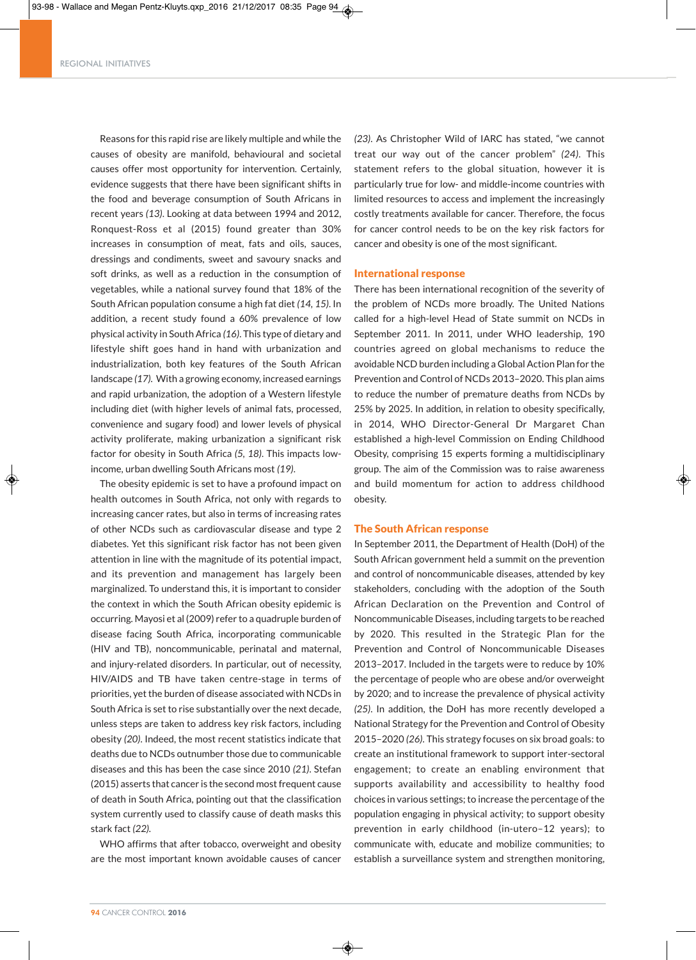#### REGIONAL INITIATIVES

Reasons for this rapid rise are likely multiple and while the causes of obesity are manifold, behavioural and societal causes offer most opportunity for intervention. Certainly, evidence suggests that there have been significant shifts in the food and beverage consumption of South Africans in recent years *(13)*. Looking at data between 1994 and 2012, Ronquest-Ross et al (2015) found greater than 30% increases in consumption of meat, fats and oils, sauces, dressings and condiments, sweet and savoury snacks and soft drinks, as well as a reduction in the consumption of vegetables, while a national survey found that 18% of the South African population consume a high fat diet *(14, 15)*. In addition, a recent study found a 60% prevalence of low physical activity in South Africa *(16)*. This type of dietary and lifestyle shift goes hand in hand with urbanization and industrialization, both key features of the South African landscape *(17).* With a growing economy, increased earnings and rapid urbanization, the adoption of a Western lifestyle including diet (with higher levels of animal fats, processed, convenience and sugary food) and lower levels of physical activity proliferate, making urbanization a significant risk factor for obesity in South Africa *(5, 18)*. This impacts lowincome, urban dwelling South Africans most *(19)*.

The obesity epidemic is set to have a profound impact on health outcomes in South Africa, not only with regards to increasing cancer rates, but also in terms of increasing rates of other NCDs such as cardiovascular disease and type 2 diabetes. Yet this significant risk factor has not been given attention in line with the magnitude of its potential impact, and its prevention and management has largely been marginalized. To understand this, it is important to consider the context in which the South African obesity epidemic is occurring. Mayosi et al (2009) refer to a quadruple burden of disease facing South Africa, incorporating communicable (HIV and TB), noncommunicable, perinatal and maternal, and injury-related disorders. In particular, out of necessity, HIV/AIDS and TB have taken centre-stage in terms of priorities, yet the burden of disease associated with NCDs in South Africa is set to rise substantially over the next decade, unless steps are taken to address key risk factors, including obesity *(20)*. Indeed, the most recent statistics indicate that deaths due to NCDs outnumber those due to communicable diseases and this has been the case since 2010 *(21)*. Stefan (2015) asserts that cancer is the second most frequent cause of death in South Africa, pointing out that the classification system currently used to classify cause of death masks this stark fact *(22).*

WHO affirms that after tobacco, overweight and obesity are the most important known avoidable causes of cancer

◈

*(23)*. As Christopher Wild of IARC has stated, "we cannot treat our way out of the cancer problem" *(24)*. This statement refers to the global situation, however it is particularly true for low- and middle-income countries with limited resources to access and implement the increasingly costly treatments available for cancer. Therefore, the focus for cancer control needs to be on the key risk factors for cancer and obesity is one of the most significant.

#### International response

There has been international recognition of the severity of the problem of NCDs more broadly. The United Nations called for a high-level Head of State summit on NCDs in September 2011. In 2011, under WHO leadership, 190 countries agreed on global mechanisms to reduce the avoidable NCD burden including a Global Action Plan for the Prevention and Control of NCDs 2013–2020. This plan aims to reduce the number of premature deaths from NCDs by 25% by 2025. In addition, in relation to obesity specifically, in 2014, WHO Director-General Dr Margaret Chan established a high-level Commission on Ending Childhood Obesity, comprising 15 experts forming a multidisciplinary group. The aim of the Commission was to raise awareness and build momentum for action to address childhood obesity.

#### The South African response

In September 2011, the Department of Health (DoH) of the South African government held a summit on the prevention and control of noncommunicable diseases, attended by key stakeholders, concluding with the adoption of the South African Declaration on the Prevention and Control of Noncommunicable Diseases, including targets to be reached by 2020. This resulted in the Strategic Plan for the Prevention and Control of Noncommunicable Diseases 2013–2017. Included in the targets were to reduce by 10% the percentage of people who are obese and/or overweight by 2020; and to increase the prevalence of physical activity *(25)*. In addition, the DoH has more recently developed a National Strategy for the Prevention and Control of Obesity 2015–2020 *(26)*. This strategy focuses on six broad goals: to create an institutional framework to support inter-sectoral engagement; to create an enabling environment that supports availability and accessibility to healthy food choices in various settings; to increase the percentage of the population engaging in physical activity; to support obesity prevention in early childhood (in-utero–12 years); to communicate with, educate and mobilize communities; to establish a surveillance system and strengthen monitoring,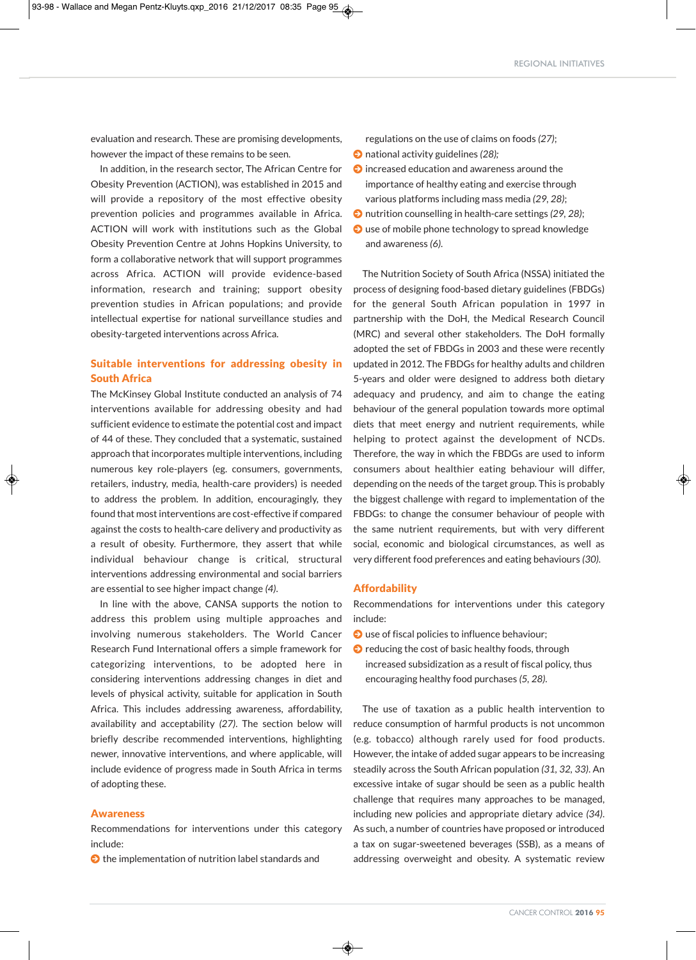evaluation and research. These are promising developments, however the impact of these remains to be seen.

In addition, in the research sector, The African Centre for Obesity Prevention (ACTION), was established in 2015 and will provide a repository of the most effective obesity prevention policies and programmes available in Africa. ACTION will work with institutions such as the Global Obesity Prevention Centre at Johns Hopkins University, to form a collaborative network that will support programmes across Africa. ACTION will provide evidence-based information, research and training; support obesity prevention studies in African populations; and provide intellectual expertise for national surveillance studies and obesity-targeted interventions across Africa.

# Suitable interventions for addressing obesity in South Africa

The McKinsey Global Institute conducted an analysis of 74 interventions available for addressing obesity and had sufficient evidence to estimate the potential cost and impact of 44 of these. They concluded that a systematic, sustained approach that incorporates multiple interventions, including numerous key role-players (eg. consumers, governments, retailers, industry, media, health-care providers) is needed to address the problem. In addition, encouragingly, they found that mostinterventions are cost-effective if compared against the costs to health-care delivery and productivity as a result of obesity. Furthermore, they assert that while individual behaviour change is critical, structural interventions addressing environmental and social barriers are essential to see higher impact change *(4)*.

In line with the above, CANSA supports the notion to address this problem using multiple approaches and involving numerous stakeholders. The World Cancer Research Fund International offers a simple framework for categorizing interventions, to be adopted here in considering interventions addressing changes in diet and levels of physical activity, suitable for application in South Africa. This includes addressing awareness, affordability, availability and acceptability *(27)*. The section below will briefly describe recommended interventions, highlighting newer, innovative interventions, and where applicable, will include evidence of progress made in South Africa in terms of adopting these.

#### Awareness

Recommendations for interventions under this category include:

 $\bullet$  the implementation of nutrition label standards and

regulations on the use of claims on foods *(27)*;  $\bullet$  national activity guidelines (28);

- $\bullet$  increased education and awareness around the importance of healthy eating and exercise through various platforms including mass media *(29, 28)*;
- $\bullet$  nutrition counselling in health-care settings (29, 28);
- $\bullet$  use of mobile phone technology to spread knowledge and awareness *(6)*.

The Nutrition Society of South Africa (NSSA) initiated the process of designing food-based dietary guidelines (FBDGs) for the general South African population in 1997 in partnership with the DoH, the Medical Research Council (MRC) and several other stakeholders. The DoH formally adopted the set of FBDGs in 2003 and these were recently updated in 2012. The FBDGs for healthy adults and children 5-years and older were designed to address both dietary adequacy and prudency, and aim to change the eating behaviour of the general population towards more optimal diets that meet energy and nutrient requirements, while helping to protect against the development of NCDs. Therefore, the way in which the FBDGs are used to inform consumers about healthier eating behaviour will differ, depending on the needs of the target group. This is probably the biggest challenge with regard to implementation of the FBDGs: to change the consumer behaviour of people with the same nutrient requirements, but with very different social, economic and biological circumstances, as well as very different food preferences and eating behaviours *(30)*.

# Affordability

Recommendations for interventions under this category include:

- $\bullet$  use of fiscal policies to influence behaviour;
- $\bullet$  reducing the cost of basic healthy foods, through increased subsidization as a result of fiscal policy, thus encouraging healthy food purchases *(5, 28)*.

The use of taxation as a public health intervention to reduce consumption of harmful products is not uncommon (e.g. tobacco) although rarely used for food products. However, the intake of added sugar appears to be increasing steadily across the South African population *(31, 32, 33)*. An excessive intake of sugar should be seen as a public health challenge that requires many approaches to be managed, including new policies and appropriate dietary advice *(34)*. As such, a number of countries have proposed or introduced a tax on sugar-sweetened beverages (SSB), as a means of addressing overweight and obesity. A systematic review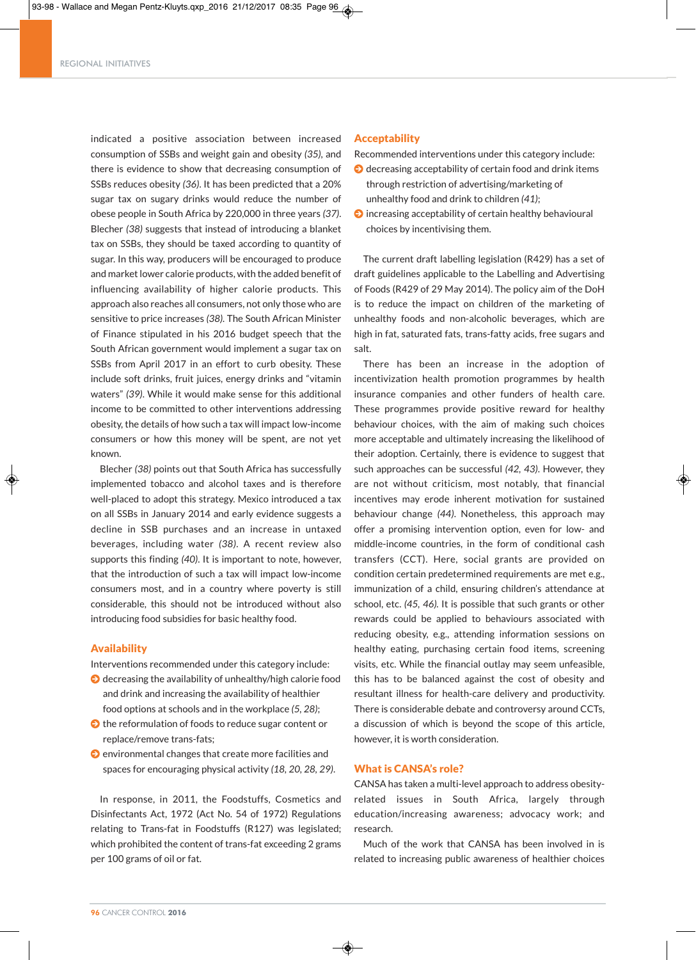indicated a positive association between increased consumption of SSBs and weight gain and obesity *(35)*, and there is evidence to show that decreasing consumption of SSBs reduces obesity *(36)*. It has been predicted that a 20% sugar tax on sugary drinks would reduce the number of obese people in South Africa by 220,000 in three years *(37)*. Blecher *(38)* suggests that instead of introducing a blanket tax on SSBs, they should be taxed according to quantity of sugar. In this way, producers will be encouraged to produce and market lower calorie products, with the added benefit of influencing availability of higher calorie products. This approach also reaches all consumers, not only those who are sensitive to price increases *(38).* The South African Minister of Finance stipulated in his 2016 budget speech that the South African government would implement a sugar tax on SSBs from April 2017 in an effort to curb obesity. These include soft drinks, fruit juices, energy drinks and "vitamin waters" *(39)*. While it would make sense for this additional income to be committed to other interventions addressing obesity, the details of how such a tax will impact low-income consumers or how this money will be spent, are not yet known.

Blecher *(38)* points out that South Africa has successfully implemented tobacco and alcohol taxes and is therefore well-placed to adopt this strategy. Mexico introduced a tax on all SSBs in January 2014 and early evidence suggests a decline in SSB purchases and an increase in untaxed beverages, including water *(38)*. A recent review also supports this finding *(40)*. It is important to note, however, that the introduction of such a tax will impact low-income consumers most, and in a country where poverty is still considerable, this should not be introduced without also introducing food subsidies for basic healthy food.

## Availability

Interventions recommended under this category include:

- $\bigcirc$  decreasing the availability of unhealthy/high calorie food and drink and increasing the availability of healthier food options at schools and in the workplace *(5, 28)*;
- $\bullet$  the reformulation of foods to reduce sugar content or replace/remove trans-fats;
- $\bullet$  environmental changes that create more facilities and spaces for encouraging physical activity *(18, 20, 28, 29)*.

In response, in 2011, the Foodstuffs, Cosmetics and Disinfectants Act, 1972 (Act No. 54 of 1972) Regulations relating to Trans-fat in Foodstuffs (R127) was legislated; which prohibited the content of trans-fat exceeding 2 grams per 100 grams of oil or fat.

# **Acceptability**

Recommended interventions under this category include:

- $\Theta$  decreasing acceptability of certain food and drink items through restriction of advertising/marketing of unhealthy food and drink to children *(41)*;
- $\bullet$  increasing acceptability of certain healthy behavioural choices by incentivising them.

The current draft labelling legislation (R429) has a set of draft guidelines applicable to the Labelling and Advertising of Foods (R429 of 29 May 2014). The policy aim of the DoH is to reduce the impact on children of the marketing of unhealthy foods and non-alcoholic beverages, which are high in fat, saturated fats, trans-fatty acids, free sugars and salt.

There has been an increase in the adoption of incentivization health promotion programmes by health insurance companies and other funders of health care. These programmes provide positive reward for healthy behaviour choices, with the aim of making such choices more acceptable and ultimately increasing the likelihood of their adoption. Certainly, there is evidence to suggest that such approaches can be successful *(42, 43)*. However, they are not without criticism, most notably, that financial incentives may erode inherent motivation for sustained behaviour change *(44)*. Nonetheless, this approach may offer a promising intervention option, even for low- and middle-income countries, in the form of conditional cash transfers (CCT). Here, social grants are provided on condition certain predetermined requirements are met e.g., immunization of a child, ensuring children's attendance at school, etc. *(45, 46).* It is possible that such grants or other rewards could be applied to behaviours associated with reducing obesity, e.g., attending information sessions on healthy eating, purchasing certain food items, screening visits, etc. While the financial outlay may seem unfeasible, this has to be balanced against the cost of obesity and resultant illness for health-care delivery and productivity. There is considerable debate and controversy around CCTs, a discussion of which is beyond the scope of this article, however, it is worth consideration.

## What is CANSA's role?

◈

CANSA has taken a multi-level approach to address obesityrelated issues in South Africa, largely through education/increasing awareness; advocacy work; and research.

Much of the work that CANSA has been involved in is related to increasing public awareness of healthier choices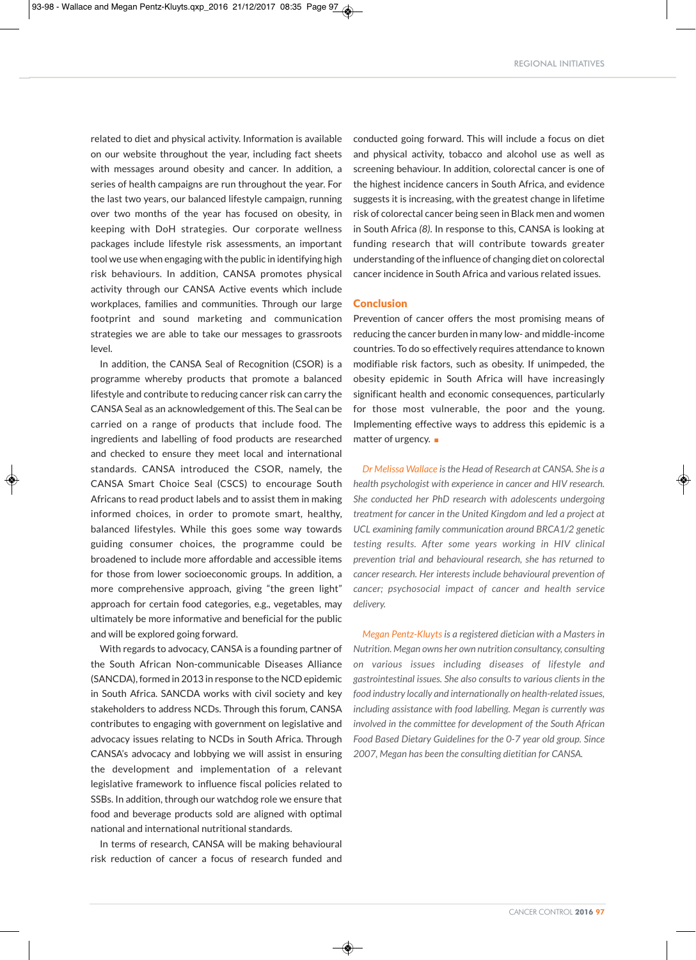related to diet and physical activity. Information is available on our website throughout the year, including fact sheets with messages around obesity and cancer. In addition, a series of health campaigns are run throughout the year. For the last two years, our balanced lifestyle campaign, running over two months of the year has focused on obesity, in keeping with DoH strategies. Our corporate wellness packages include lifestyle risk assessments, an important tool we use when engaging with the public in identifying high risk behaviours. In addition, CANSA promotes physical activity through our CANSA Active events which include workplaces, families and communities. Through our large footprint and sound marketing and communication strategies we are able to take our messages to grassroots level.

In addition, the CANSA Seal of Recognition (CSOR) is a programme whereby products that promote a balanced lifestyle and contribute to reducing cancer risk can carry the CANSA Seal as an acknowledgement of this. The Seal can be carried on a range of products that include food. The ingredients and labelling of food products are researched and checked to ensure they meet local and international standards. CANSA introduced the CSOR, namely, the CANSA Smart Choice Seal (CSCS) to encourage South Africans to read product labels and to assist them in making informed choices, in order to promote smart, healthy, balanced lifestyles. While this goes some way towards guiding consumer choices, the programme could be broadened to include more affordable and accessible items for those from lower socioeconomic groups. In addition, a more comprehensive approach, giving "the green light" approach for certain food categories, e.g., vegetables, may ultimately be more informative and beneficial for the public and will be explored going forward.

With regards to advocacy, CANSA is a founding partner of the South African Non-communicable Diseases Alliance (SANCDA), formed in 2013 in response to the NCD epidemic in South Africa. SANCDA works with civil society and key stakeholders to address NCDs. Through this forum, CANSA contributes to engaging with government on legislative and advocacy issues relating to NCDs in South Africa. Through CANSA's advocacy and lobbying we will assist in ensuring the development and implementation of a relevant legislative framework to influence fiscal policies related to SSBs. In addition, through our watchdog role we ensure that food and beverage products sold are aligned with optimal national and international nutritional standards.

In terms of research, CANSA will be making behavioural risk reduction of cancer a focus of research funded and conducted going forward. This will include a focus on diet and physical activity, tobacco and alcohol use as well as screening behaviour. In addition, colorectal cancer is one of the highest incidence cancers in South Africa, and evidence suggests it is increasing, with the greatest change in lifetime risk of colorectal cancer being seen in Black men and women in South Africa *(8)*. In response to this, CANSA is looking at funding research that will contribute towards greater understanding of the influence of changing diet on colorectal cancer incidence in South Africa and various related issues.

## **Conclusion**

Prevention of cancer offers the most promising means of reducing the cancer burden in many low- and middle-income countries. To do so effectively requires attendance to known modifiable risk factors, such as obesity. If unimpeded, the obesity epidemic in South Africa will have increasingly significant health and economic consequences, particularly for those most vulnerable, the poor and the young. Implementing effective ways to address this epidemic is a matter of urgency.  $\square$ 

*Dr Melissa Wallace isthe Head of Research at CANSA. She is a health psychologist with experience in cancer and HIV research. She conducted her PhD research with adolescents undergoing treatment for cancer in the United Kingdom and led a project at UCL examining family communication around BRCA1/2 genetic testing results. After some years working in HIV clinical prevention trial and behavioural research, she has returned to cancer research. Her interests include behavioural prevention of cancer; psychosocial impact of cancer and health service delivery.*

*Megan Pentz-Kluyts is a registered dietician with a Masters in Nutrition. Megan owns her own nutrition consultancy, consulting on various issues including diseases of lifestyle and gastrointestinal issues. She also consults to various clients in the food industry locally and internationally on health-related issues, including assistance with food labelling. Megan is currently was involved in the committee for development of the South African Food Based Dietary Guidelines for the 0-7 year old group. Since 2007, Megan has been the consulting dietitian for CANSA.*